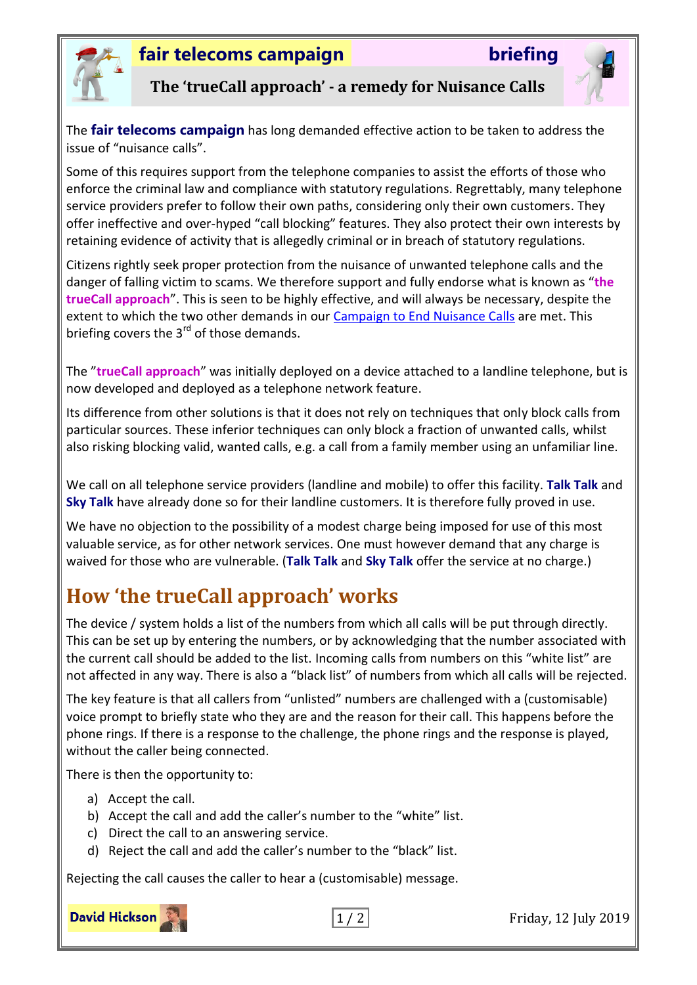

### **fair telecoms campaign briefing**



**The 'trueCall approach' - a remedy for Nuisance Calls**

The **fair telecoms campaign** has long demanded effective action to be taken to address the issue of "nuisance calls".

Some of this requires support from the telephone companies to assist the efforts of those who enforce the criminal law and compliance with statutory regulations. Regrettably, many telephone service providers prefer to follow their own paths, considering only their own customers. They offer ineffective and over-hyped "call blocking" features. They also protect their own interests by retaining evidence of activity that is allegedly criminal or in breach of statutory regulations.

Citizens rightly seek proper protection from the nuisance of unwanted telephone calls and the danger of falling victim to scams. We therefore support and fully endorse what is known as "**the trueCall approach**". This is seen to be highly effective, and will always be necessary, despite the extent to which the two other demands in our [Campaign to End Nuisance Calls](http://www.fairtelecoms.org.uk/docs.html?our3d) are met. This briefing covers the  $3<sup>rd</sup>$  of those demands.

The "**trueCall approach**" was initially deployed on a device attached to a landline telephone, but is now developed and deployed as a telephone network feature.

Its difference from other solutions is that it does not rely on techniques that only block calls from particular sources. These inferior techniques can only block a fraction of unwanted calls, whilst also risking blocking valid, wanted calls, e.g. a call from a family member using an unfamiliar line.

We call on all telephone service providers (landline and mobile) to offer this facility. **Talk Talk** and **Sky Talk** have already done so for their landline customers. It is therefore fully proved in use.

We have no objection to the possibility of a modest charge being imposed for use of this most valuable service, as for other network services. One must however demand that any charge is waived for those who are vulnerable. (**Talk Talk** and **Sky Talk** offer the service at no charge.)

## **How 'the trueCall approach' works**

The device / system holds a list of the numbers from which all calls will be put through directly. This can be set up by entering the numbers, or by acknowledging that the number associated with the current call should be added to the list. Incoming calls from numbers on this "white list" are not affected in any way. There is also a "black list" of numbers from which all calls will be rejected.

The key feature is that all callers from "unlisted" numbers are challenged with a (customisable) voice prompt to briefly state who they are and the reason for their call. This happens before the phone rings. If there is a response to the challenge, the phone rings and the response is played, without the caller being connected.

There is then the opportunity to:

- a) Accept the call.
- b) Accept the call and add the caller's number to the "white" list.
- c) Direct the call to an answering service.
- d) Reject the call and add the caller's number to the "black" list.

Rejecting the call causes the caller to hear a (customisable) message.